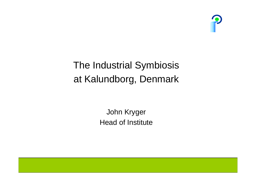

# The Industrial Symbiosis at Kalundborg, Denmark

John Kryger Head of Institute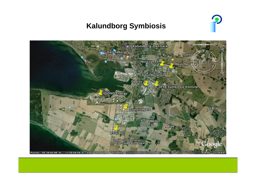### **Kalundborg Symbiosis**



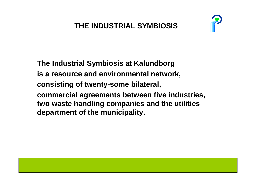## **THE INDUSTRIAL SYMBIOSIS**



**The Industrial Symbiosis at Kalundborg is a resource and environmental network, consisting of twenty-some bilateral, commercial agreements between five industries, two waste handling companies and the utilities department of the municipality.**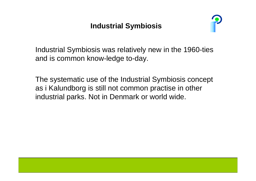### **Industrial Symbiosis**



Industrial Symbiosis was relatively new in the 1960-ties and is common know-ledge to-day.

The systematic use of the Industrial Symbiosis concept as i Kalundborg is still not common practise in other industrial parks. Not in Denmark or world wide.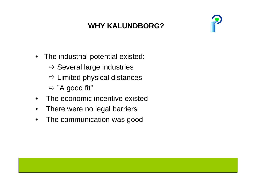# **WHY KALUNDBORG?**



- The industrial potential existed:
	- $\Rightarrow$  Several large industries
	- $\Rightarrow$  Limited physical distances
	- $\Rightarrow$  "A good fit"
- •The economic incentive existed
- •There were no legal barriers
- •The communication was good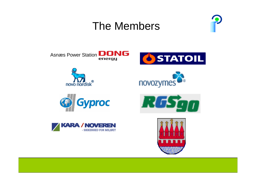# The Members

















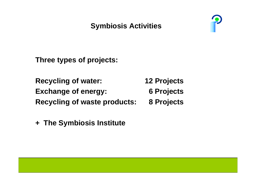## **Symbiosis Activities**



**Three types of projects:**

**Recycling of water: 12 Projects Exchange of energy: 6 Projects Recycling of waste products: 8 Projects**

**+ The Symbiosis Institute**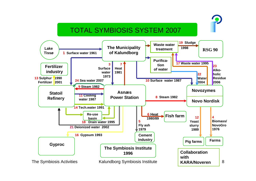#### TOTAL SYMBIOSIS SYSTEM 2007

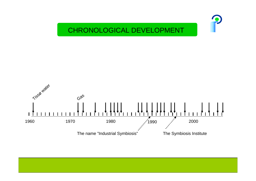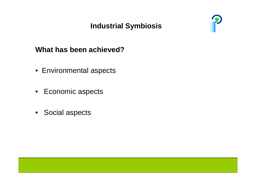## **Industrial Symbiosis**



## **What has been achieved?**

- Environmental aspects
- Economic aspects
- Social aspects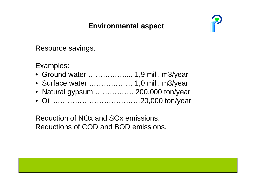### **Environmental aspect**



#### Resource savings.

#### Examples:

- Ground water …………….... 1,9 mill. m3/year
- Surface water ……………… 1,0 mill. m3/year
- Natural gypsum ……………. 200,000 ton/year
- Oil ………………………………20,000 ton/year

Reduction of NOx and SOx emissions. Reductions of COD and BOD emissions.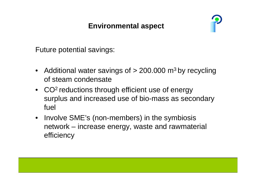### **Environmental aspect**



Future potential savings:

- Additional water savings of > 200.000 m<sup>3</sup> by recycling of steam condensate
- CO<sup>2</sup> reductions through efficient use of energy surplus and increased use of bio-mass as secondary fuel
- $\bullet$ • Involve SME's (non-members) in the symbiosis network – increase energy, waste and rawmaterial efficiency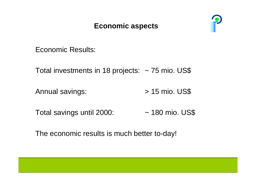#### **Economic aspects**



Economic Results:

Total investments in 18 projects: ~ 75 mio. US\$

Annual savings:  $> 15$  mio. US\$

Total savings until 2000: ~ 180 mio. US\$

The economic results is much better to-day!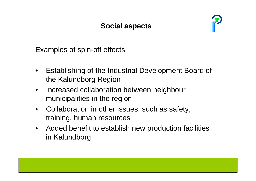#### **Social aspects**



Examples of spin-off effects:

- $\bullet$ Establishing of the Industrial Development Board of the Kalundborg Region
- $\bullet$  Increased collaboration between neighbour municipalities in the region
- $\bullet$ Collaboration in other issues, such as safety, training, human resources
- $\bullet$ Added benefit to establish new production facilities in Kalundborg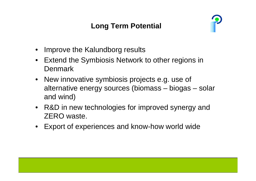## **Long Term Potential**



- •Improve the Kalundborg results
- •Extend the Symbiosis Network to other regions in **Denmark**
- $\bullet$ New innovative symbiosis projects e.g. use of alternative energy sources (biomass – biogas – solar and wind)
- $\bullet$ R&D in new technologies for improved synergy and ZERO waste.
- $\bullet$ Export of experiences and know-how world wide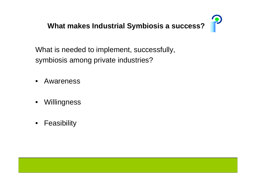

What is needed to implement, successfully, symbiosis among private industries?

- •Awareness
- $\bullet$ **Willingness**
- •**Feasibility**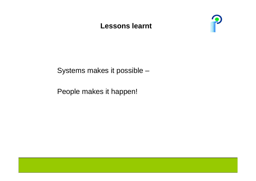#### **Lessons learnt**



Systems makes it possible –

People makes it happen!